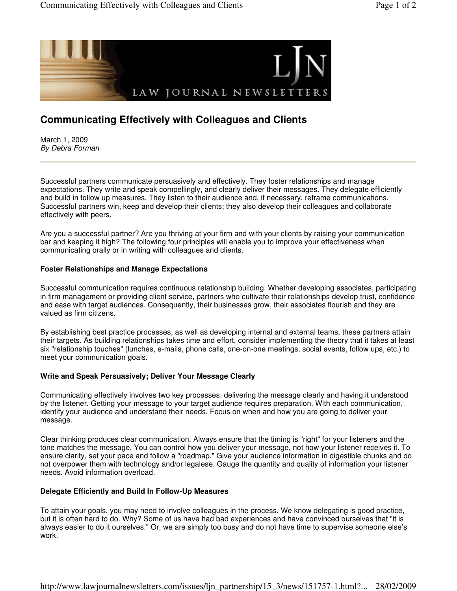

# **Communicating Effectively with Colleagues and Clients**

March 1, 2009 By Debra Forman

Successful partners communicate persuasively and effectively. They foster relationships and manage expectations. They write and speak compellingly, and clearly deliver their messages. They delegate efficiently and build in follow up measures. They listen to their audience and, if necessary, reframe communications. Successful partners win, keep and develop their clients; they also develop their colleagues and collaborate effectively with peers.

Are you a successful partner? Are you thriving at your firm and with your clients by raising your communication bar and keeping it high? The following four principles will enable you to improve your effectiveness when communicating orally or in writing with colleagues and clients.

## **Foster Relationships and Manage Expectations**

Successful communication requires continuous relationship building. Whether developing associates, participating in firm management or providing client service, partners who cultivate their relationships develop trust, confidence and ease with target audiences. Consequently, their businesses grow, their associates flourish and they are valued as firm citizens.

By establishing best practice processes, as well as developing internal and external teams, these partners attain their targets. As building relationships takes time and effort, consider implementing the theory that it takes at least six "relationship touches" (lunches, e-mails, phone calls, one-on-one meetings, social events, follow ups, etc.) to meet your communication goals.

### **Write and Speak Persuasively; Deliver Your Message Clearly**

Communicating effectively involves two key processes: delivering the message clearly and having it understood by the listener. Getting your message to your target audience requires preparation. With each communication, identify your audience and understand their needs. Focus on when and how you are going to deliver your message.

Clear thinking produces clear communication. Always ensure that the timing is "right" for your listeners and the tone matches the message. You can control how you deliver your message, not how your listener receives it. To ensure clarity, set your pace and follow a "roadmap." Give your audience information in digestible chunks and do not overpower them with technology and/or legalese. Gauge the quantity and quality of information your listener needs. Avoid information overload.

### **Delegate Efficiently and Build In Follow-Up Measures**

To attain your goals, you may need to involve colleagues in the process. We know delegating is good practice, but it is often hard to do. Why? Some of us have had bad experiences and have convinced ourselves that "it is always easier to do it ourselves." Or, we are simply too busy and do not have time to supervise someone else's work.